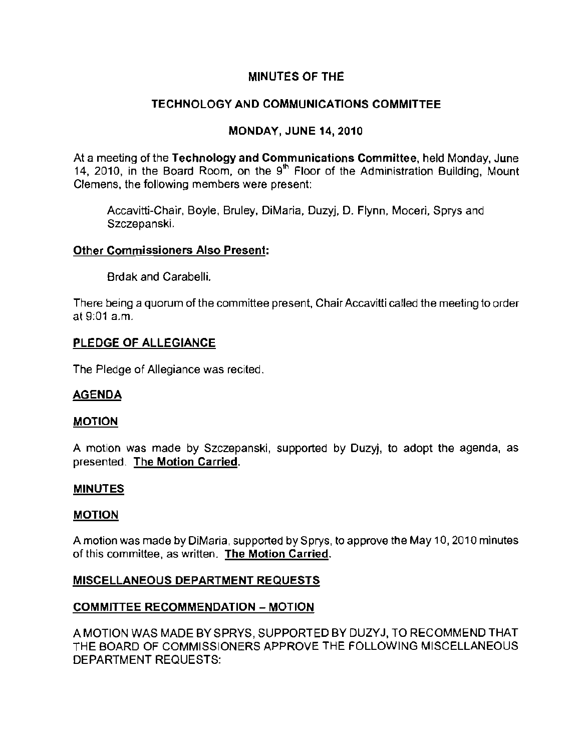# MINUTES OF THE

# TECHNOLOGY AND COMMUNICATIONS COMMITTEE

# MONDAY, JUNE 14, 2010

At a meeting of the Technology and Communications Committee, held Monday, June 14, 2010, in the Board Room, on the 9<sup>th</sup> Floor of the Administration Building, Mount **Clemens, the following members were present:** 

Accavitti-Chair, Boyle, Bruley, DiMaria, Duzyj, D. Flynn, Moceri, Sprys and Szczepanski.

### **Other Commissioners Also Present:**

Brdak and Carabelli.

There being a quorum of the committee present, Chair Accavitti called the meeting to order at  $9:01$  a.m.

### PLEDGE OF ALLEGIANCE

The Pledge of Allegiance was recited.

## AGENDA

#### MOTION

A motion was made by Szczepanski, supported by Duzyj, to adopt the agenda, as presented. The Motion Carried.

#### MINUTES

#### MOTION

Amotion was made by DiMaria, supported by Sprys, to approve the May 10. 2010 minutes **of this committee, as written. The Motion Carried.** 

## MISCELLANEOUS DEPARTMENT REQUESTS

## COMMITTEE RECOMMENDATION - MOTION

A MOTION WAS MADE BY SPRYS, SUPPORTED BY DUZYJ. TO RECOMMEND THAT THE BOARD OF COMMISSIONERS APPROVE THE FOLLOWING MISCELLANEOUS DEPARTMENT REQUESTS: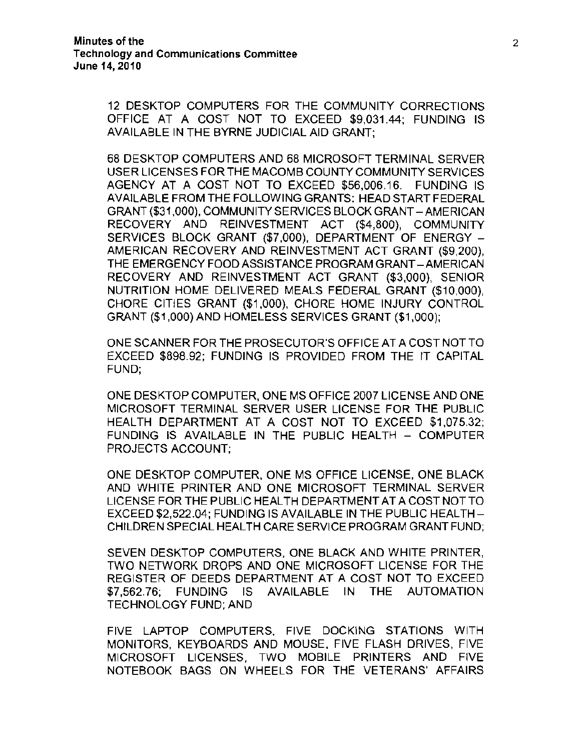12 DESKTOP COMPUTERS FOR THE COMMUNITY CORRECTIONS OFFICE AT A COST NOT TO EXCEED \$9,031.44; FUNDING IS AVAILABLE IN THE BYRNE JUDICIAL AID GRANT;

68 DESKTOP COMPUTERS AND 68 MICROSOFT TERMINAL SERVER USER LICENSES FOR THE MACOMB COUNTY COMMUNITY SERVICES AGENCY AT A COST NOT TO EXCEED \$56,006.16. FUNDING IS AVAILABLE FROM THE FOLLOWING GRANTS; HEAD START FEDERAL GRANT (\$31,000), COMMUNITY SERVICES BLOCK GRANT - AMERICAN RECOVERY AND REINVESTMENT ACT (\$4,800), COMMUNiTY SERVICES BLOCK GRANT (\$7,000), DEPARTMENT OF ENERGY AMERICAN RECOVERY AND REINVESTMENT ACT GRANT (\$9,200), THE EMERGENCY FOOD ASSISTANCE PROGRAM GRANT-AMERICAN RECOVERY AND REINVESTMENT ACT GRANT (\$3,000), SENIOR NUTRITION HOME DELIVERED MEALS FEDERAL GRANT (\$10.000), CHORE CITIES GRANT (\$1,000), CHORE HOME INJURY CONTROL GRANT (\$1,000) AND HOMELESS SERVICES GRANT (\$1,000);

ONE SCANNER FOR THE PROSECUTOR'S OFFICE AT A COST NOTTO EXCEED \$898.92; FUNDING IS PROVIDED FROM THE iT CAPITAL FUND;

ONE DESKTOP COMPUTER, ONE MS OFFICE 2007 LICENSE AND ONE MICROSOFT TERMINAL SERVER USER LICENSE FOR THE PUBLIC HEALTH DEPARTMENT AT A COST NOT TO EXCEED \$1,075.32; FUNDING IS AVAILABLE IN THE PUBLIC HEALTH - COMPUTER PROJECTS ACCOUNT;

ONE DESKTOP COMPUTER, ONE MS OFFICE LICENSE, ONE BLACK AND WHITE PRINTER AND ONE MICROSOFT TERMINAL SERVER LICENSE FOR THE PUBLIC HEALTH DEPARTMENT AT A COST NOT TO EXCEED \$2,522.04; FUNDING IS AVAILABLE IN THE PUBLIC HEALTH-CHiLDREN SPECIAL HEALTH CARE SERVICE PROGRAM GRANT FUND;

SEVEN DESKTOP COMPUTERS, ONE BLACK AND WHITE PRINTER, TWO NETWORK DROPS AND ONE MICROSOFT LICENSE FOR THE REGISTER OF DEEDS DEPARTMENT AT A COST NOT TO EXCEED \$7,562.76; FUNDING IS AVAILABLE IN THE AUTOMATION TECHNOLOGY FUND; AND

FIVE LAPTOP COMPUTERS. FIVE DOCKING STATIONS WITH MONITORS, KEYBOARDS AND MOUSE, FIVE FLASH DRIVES, FIVE MICROSOFT LICENSES, TWO MOBILE PRINTERS AND FIVE NOTEBOOK BAGS ON WHEELS FOR THE VETERANS' AFFAIRS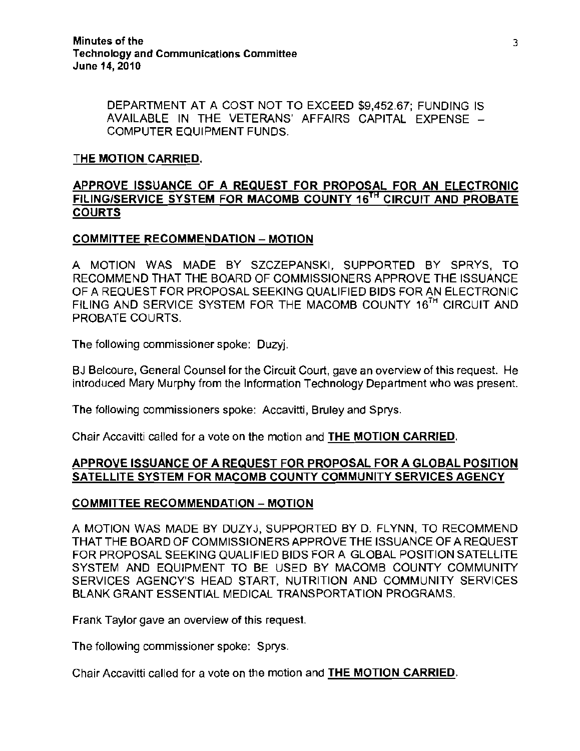DEPARTMENT AT A COST NOT TO EXCEED \$9,452.67; FUNDING IS AVAILABLE IN THE VETERANS' AFFAIRS CAPITAL EXPENSE COMPUTER EQUIPMENT FUNDS.

#### THE MOTION CARRIED.

## APPROVE ISSUANCE OF A REQUEST FOR PROPOSAL FOR AN ELECTRONIC FILING/SERVICE SYSTEM FOR MACOMB COUNTY 16<sup>TH</sup> CIRCUIT AND PROBATE **COURTS**

## COMMITTEE RECOMMENDATION - MOTION

A MOTION WAS MADE BY SZCZEPANSKI, SUPPORTED BY SPRYS, TO RECOMMEND THAT THE BOARD OF COMMISSIONERS APPROVE THE ISSUANCE OF A REQUEST FOR PROPOSAL SEEKING QUALIFIED BIDS FOR AN ELECTRONIC FILING AND SERVICE SYSTEM FOR THE MACOMB COUNTY 16<sup>TH</sup> CIRCUIT AND PROBATE COURTS.

**The following commissioner spoke: Duzyj.** 

**BJ Belcoure, General Counsel for the Circuit Court, gave an overview of this request. He**  introduced Mary Murphy from the Information Technology Department who was present.

The following commissioners spoke: Accavitti, Bruley and Sprys.

Chair Accavitti called for a vote on the motion and THE MOTION CARRIED.

### APPROVE ISSUANCE OF A REQUEST FOR PROPOSAL FOR A GLOBAL POSITION SATELLITE SYSTEM FOR MACOMB COUNTY COMMUNITY SERVICES AGENCY

#### COMMITTEE RECOMMENDATION - MOTION

A MOTION WAS MADE BY DUZYJ, SUPPORTED BY D. FLYNN, TO RECOMMEND THAT THE BOARD OF COMMISSIONERS APPROVE THE ISSUANCE OF A REQUEST FOR PROPOSAL SEEKING QUALIFIED BIDS FOR A GLOBAL POSITION SATELLITE SYSTEM AND EQUIPMENT TO BE USED BY MACOMB COUNTY COMMUNITY SERVICES AGENCY'S HEAD START, NUTRITION AND COMMUNITY SERVICES BLANK GRANT ESSENTIAL MEDICAL TRANSPORTATION PROGRAMS.

**Frank Taylor gave an overview of this request.** 

The following commissioner spoke: Sprys.

Chair Accavitti called for a vote on the motion and THE MOTION CARRIED.